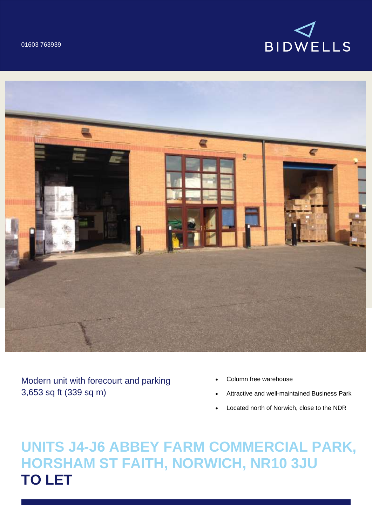



Modern unit with forecourt and parking 3,653 sq ft (339 sq m)

- Column free warehouse
- Attractive and well-maintained Business Park
- Located north of Norwich, close to the NDR

**UNITS J4-J6 ABBEY FARM COMMERCIAL PARK, HORSHAM ST FAITH, NORWICH, NR10 3JU TO LET**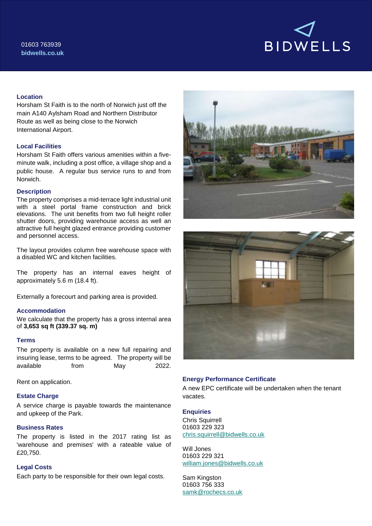

## **Location**

Horsham St Faith is to the north of Norwich just off the main A140 Aylsham Road and Northern Distributor Route as well as being close to the Norwich International Airport.

## **Local Facilities**

Horsham St Faith offers various amenities within a fiveminute walk, including a post office, a village shop and a public house. A regular bus service runs to and from Norwich.

## **Description**

The property comprises a mid-terrace light industrial unit with a steel portal frame construction and brick elevations. The unit benefits from two full height roller shutter doors, providing warehouse access as well an attractive full height glazed entrance providing customer and personnel access.

The layout provides column free warehouse space with a disabled WC and kitchen facilities.

The property has an internal eaves height of approximately 5.6 m (18.4 ft).

Externally a forecourt and parking area is provided.

# **Accommodation**

We calculate that the property has a gross internal area of **3,653 sq ft (339.37 sq. m)**

## **Terms**

The property is available on a new full repairing and insuring lease, terms to be agreed. The property will be available from May 2022.

Rent on application.

### **Estate Charge**

A service charge is payable towards the maintenance and upkeep of the Park.

# **Business Rates**

The property is listed in the 2017 rating list as 'warehouse and premises' with a rateable value of £20,750.

## **Legal Costs**

Each party to be responsible for their own legal costs.





## **Energy Performance Certificate**

A new EPC certificate will be undertaken when the tenant vacates.

### **Enquiries**

Chris Squirrell 01603 229 323 [chris.squirrell@bidwells.co.uk](mailto:chris.squirrell@bidwells.co.uk)

Will Jones 01603 229 321 [william.jones@bidwells.co.uk](mailto:william.jones@bidwells.co.uk)

Sam Kingston 01603 756 333 [samk@rochecs.co.uk](mailto:samk@rochecs.co.uk)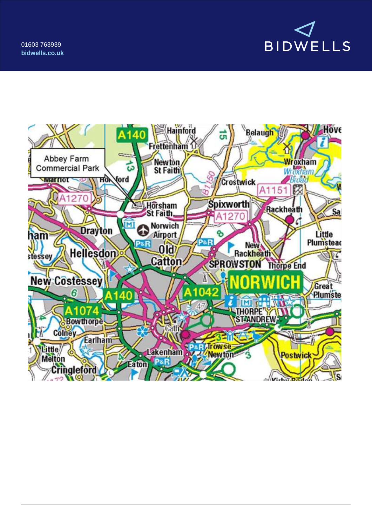